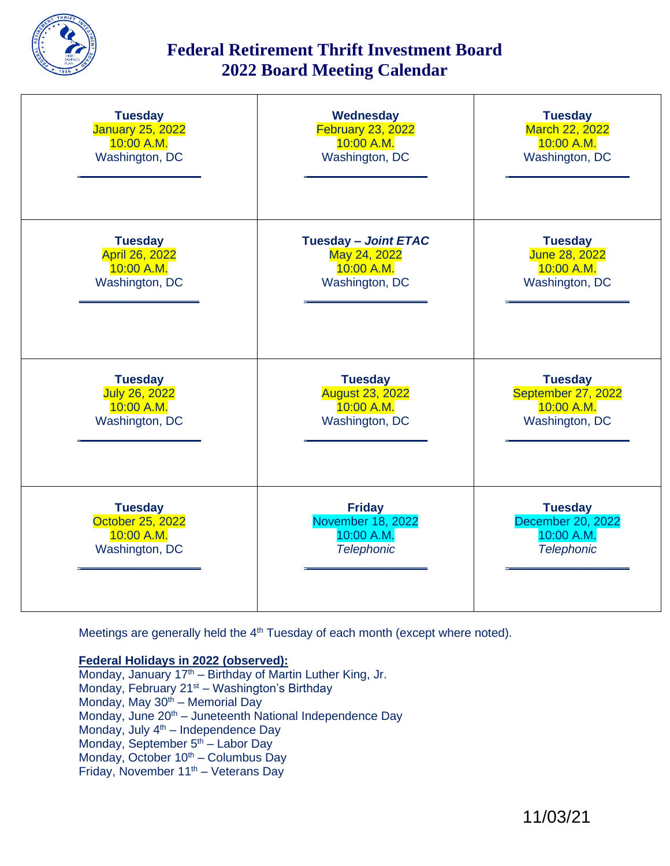

## **Federal Retirement Thrift Investment Board 2022 Board Meeting Calendar**

| <b>Tuesday</b>          | <b>Wednesday</b>            | <b>Tuesday</b>        |
|-------------------------|-----------------------------|-----------------------|
| <b>January 25, 2022</b> | <b>February 23, 2022</b>    | <b>March 22, 2022</b> |
| 10:00 A.M.              | 10:00 A.M.                  | 10:00 A.M.            |
| Washington, DC          | Washington, DC              | Washington, DC        |
| <b>Tuesday</b>          | <b>Tuesday - Joint ETAC</b> | <b>Tuesday</b>        |
| <b>April 26, 2022</b>   | May 24, 2022                | <b>June 28, 2022</b>  |
| 10:00 A.M.              | 10:00 A.M.                  | 10:00 A.M.            |
| Washington, DC          | Washington, DC              | Washington, DC        |
| <b>Tuesday</b>          | <b>Tuesday</b>              | <b>Tuesday</b>        |
| <b>July 26, 2022</b>    | <b>August 23, 2022</b>      | September 27, 2022    |
| 10:00 A.M.              | 10:00 A.M.                  | 10:00 A.M.            |
| Washington, DC          | Washington, DC              | Washington, DC        |
| <b>Tuesday</b>          | <b>Friday</b>               | <b>Tuesday</b>        |
| <b>October 25, 2022</b> | <b>November 18, 2022</b>    | December 20, 2022     |
| 10:00 A.M.              | 10:00 A.M.                  | 10:00 A.M.            |
| Washington, DC          | <b>Telephonic</b>           | <b>Telephonic</b>     |

Meetings are generally held the 4<sup>th</sup> Tuesday of each month (except where noted).

## **Federal Holidays in 2022 (observed):**

Monday, January 17<sup>th</sup> – Birthday of Martin Luther King, Jr. Monday, February 21<sup>st</sup> – Washington's Birthday Monday, May 30<sup>th</sup> – Memorial Day Monday, June 20<sup>th</sup> – Juneteenth National Independence Day Monday, July  $4<sup>th</sup>$  – Independence Day Monday, September 5<sup>th</sup> – Labor Day Monday, October  $10^{th}$  – Columbus Day Friday, November  $11^{th}$  – Veterans Day